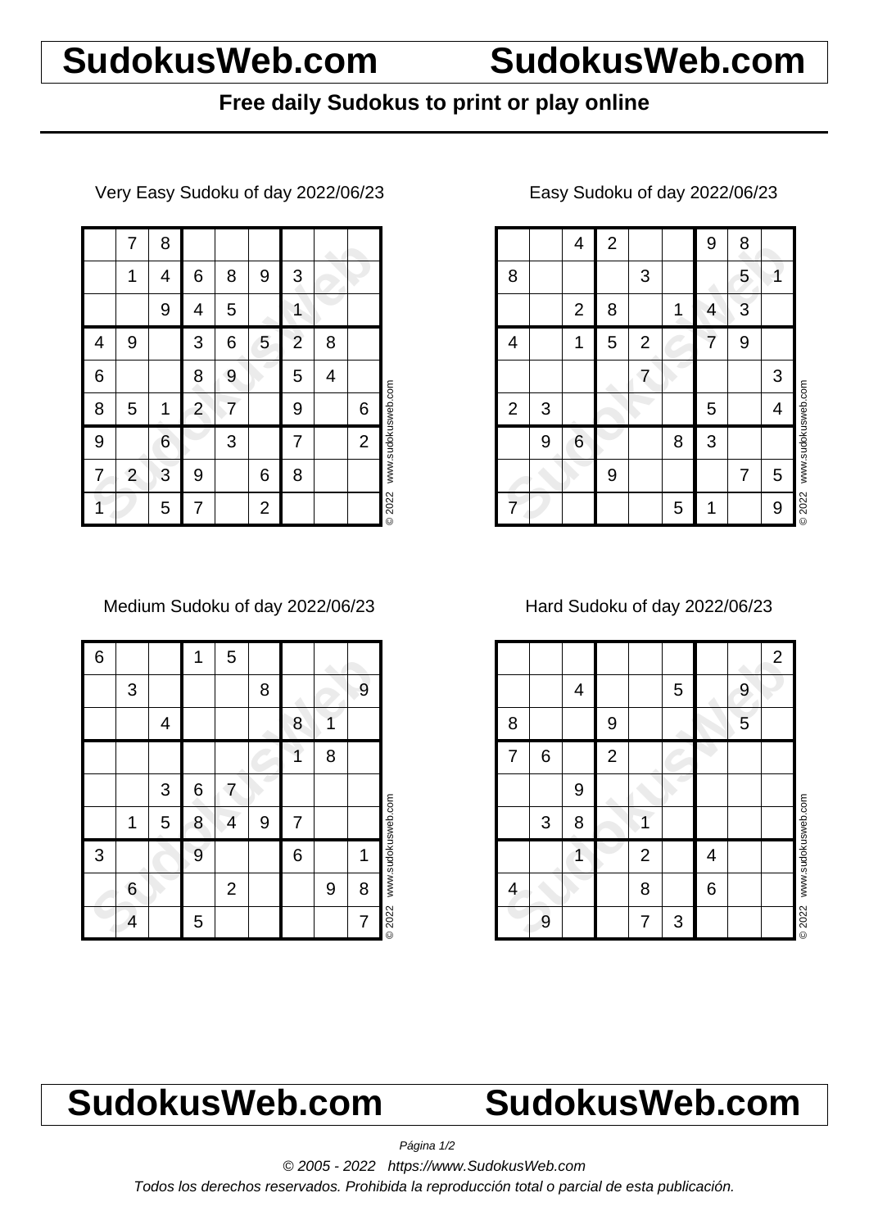# **SudokusWeb.com SudokusWeb.com**

## **Free daily Sudokus to print or play online**

Very Easy Sudoku of day 2022/06/23

|   | 7              | 8 |                         |   |                |                |   |                |                    |
|---|----------------|---|-------------------------|---|----------------|----------------|---|----------------|--------------------|
|   | 1              | 4 | 6                       | 8 | 9              | 3              |   |                |                    |
|   |                | 9 | 4                       | 5 |                | 1              |   |                |                    |
| 4 | 9              |   | 3                       | 6 | 5              | $\overline{2}$ | 8 |                |                    |
| 6 |                |   | 8                       | 9 |                | 5              | 4 |                |                    |
| 8 | 5              | 1 | $\overline{\mathbf{c}}$ | 7 |                | 9              |   | 6              | www.sudokusweb.com |
| 9 |                | 6 |                         | 3 |                | 7              |   | $\overline{2}$ |                    |
| 7 | $\overline{2}$ | 3 | 9                       |   | 6              | 8              |   |                |                    |
|   |                | 5 | 7                       |   | $\overline{2}$ |                |   |                | © 2022             |

Medium Sudoku of day 2022/06/23

| 6 |   |   | 1 | 5              |   |   |   |   |                    |
|---|---|---|---|----------------|---|---|---|---|--------------------|
|   | 3 |   |   |                | 8 |   |   | 9 |                    |
|   |   | 4 |   |                |   | 8 |   |   |                    |
|   |   |   |   |                |   | 1 | 8 |   |                    |
|   |   | 3 | 6 | 7              |   |   |   |   |                    |
|   | 1 | 5 | 8 | 4              | 9 | 7 |   |   |                    |
| 3 |   |   | 9 |                |   | 6 |   | 1 | www.sudokusweb.com |
|   | 6 |   |   | $\overline{2}$ |   |   | 9 | 8 |                    |
|   | 4 |   | 5 |                |   |   |   | 7 | <b>©2022</b>       |

### 4 2 9 8<br>
2 8 1 4 3<br>
4 1 5 2 7 9<br>
7 9 6 8 3<br>
9 6 8 3<br>
9 7 5<br>
7 9 5 4<br>
9 7 5<br>
7 9 5 1 9 4 2 | 9 | 8 8 | | | | 3 | | | | 5 | 1 2 8 1 4 3 4 | 1 | 5 | 2 | 2 | 7 | 9 7 | | | | | 3  $2 | 3 |$   $| 5 | 4$ 9 6 8 3 9 | | | | | 7 | 5 7 | | | | | 5 | 1 | | 9 © 2022 www.sudokusweb.com

### Easy Sudoku of day 2022/06/23

Hard Sudoku of day 2022/06/23

|   |                |   |              |                |   |   |   | $\overline{2}$ |                    |
|---|----------------|---|--------------|----------------|---|---|---|----------------|--------------------|
|   |                | 4 |              |                | 5 |   | 9 |                |                    |
| 8 |                |   | 9            |                |   |   | 5 |                |                    |
| 7 | 6              |   | $\mathbf{2}$ |                |   |   |   |                |                    |
|   |                | 9 |              |                |   |   |   |                |                    |
|   | $\mathfrak{S}$ | 8 |              |                |   |   |   |                | www.sudokusweb.com |
|   |                |   |              | $\overline{2}$ |   | 4 |   |                |                    |
| 4 |                |   |              | 8              |   | 6 |   |                |                    |
|   | 9              |   |              | 7              | 3 |   |   |                | <b>©2022</b>       |

# **SudokusWeb.com SudokusWeb.com**

Página 1/2

© 2005 - 2022 https://www.SudokusWeb.com

Todos los derechos reservados. Prohibida la reproducción total o parcial de esta publicación.